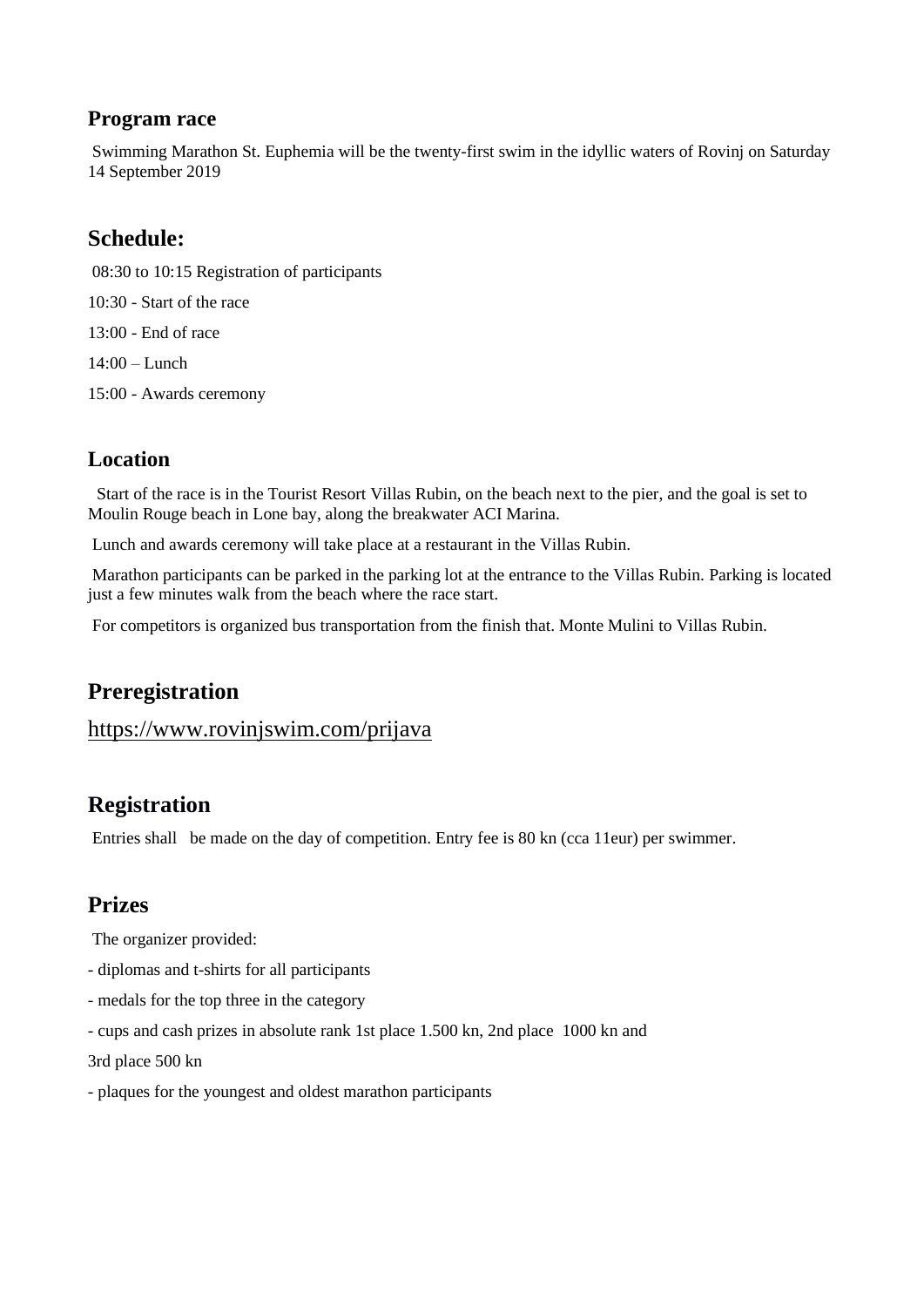#### **Program race**

Swimming Marathon St. Euphemia will be the twenty-first swim in the idyllic waters of Rovinj on Saturday 14 September 2019

### **Schedule:**

- 08:30 to 10:15 Registration of participants
- 10:30 Start of the race
- 13:00 End of race
- 14:00 Lunch
- 15:00 Awards ceremony

### **Location**

Start of the race is in the Tourist Resort Villas Rubin, on the beach next to the pier, and the goal is set to Moulin Rouge beach in Lone bay, along the breakwater ACI Marina.

Lunch and awards ceremony will take place at a restaurant in the Villas Rubin.

Marathon participants can be parked in the parking lot at the entrance to the Villas Rubin. Parking is located just a few minutes walk from the beach where the race start.

For competitors is organized bus transportation from the finish that. Monte Mulini to Villas Rubin.

# **Preregistration**

#### <https://www.rovinjswim.com/prijava>

# **Registration**

Entries shall be made on the day of competition. Entry fee is 80 kn (cca 11eur) per swimmer.

### **Prizes**

The organizer provided:

- diplomas and t-shirts for all participants
- medals for the top three in the category
- cups and cash prizes in absolute rank 1st place 1.500 kn, 2nd place 1000 kn and

3rd place 500 kn

- plaques for the youngest and oldest marathon participants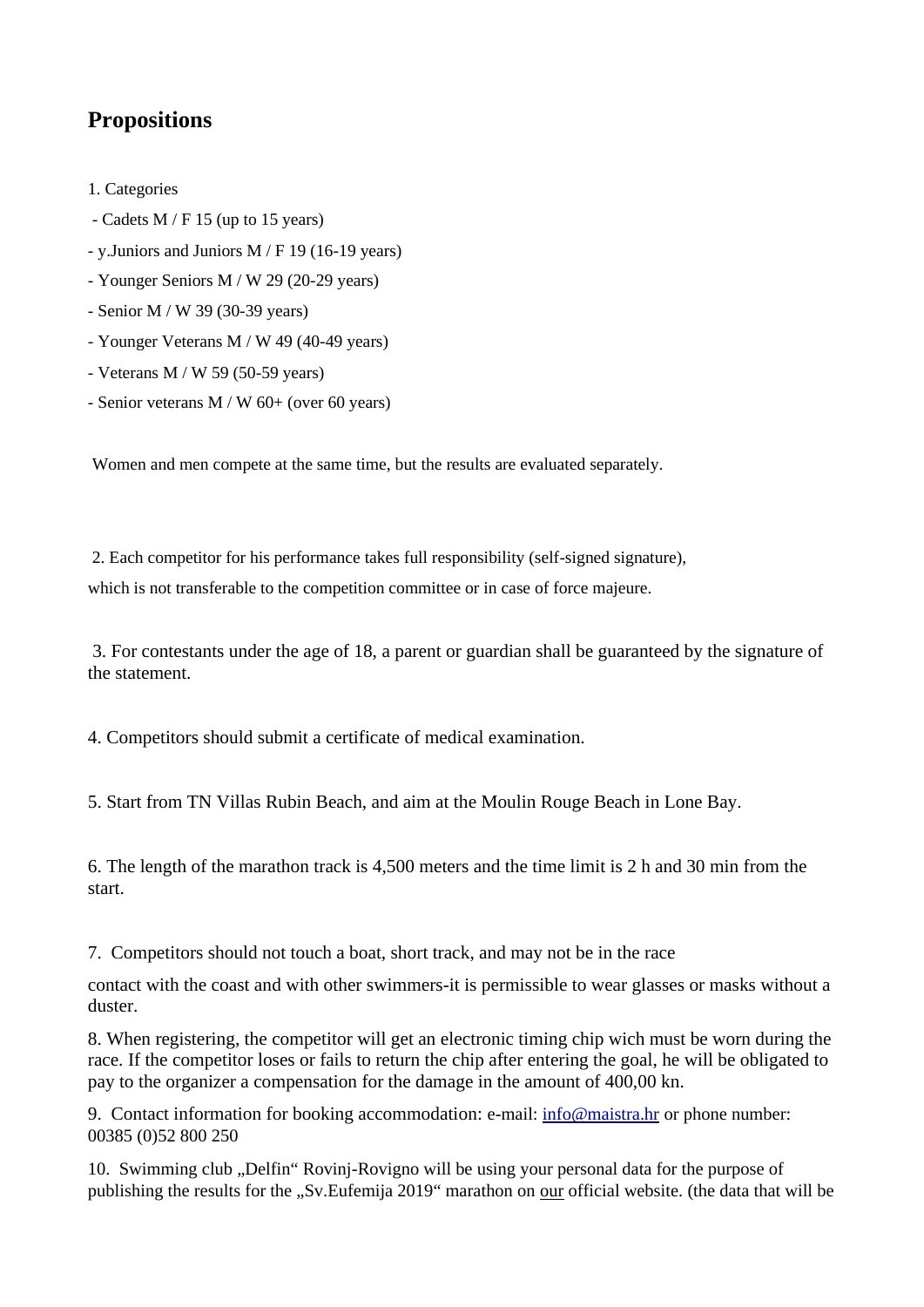# **Propositions**

- 1. Categories
- Cadets M / F 15 (up to 15 years)
- y.Juniors and Juniors M / F 19 (16-19 years)
- Younger Seniors M / W 29 (20-29 years)
- Senior M / W 39 (30-39 years)
- Younger Veterans M / W 49 (40-49 years)
- Veterans M / W 59 (50-59 years)
- Senior veterans M / W 60+ (over 60 years)

Women and men compete at the same time, but the results are evaluated separately.

2. Each competitor for his performance takes full responsibility (self-signed signature),

which is not transferable to the competition committee or in case of force majeure.

3. For contestants under the age of 18, a parent or guardian shall be guaranteed by the signature of the statement.

4. Competitors should submit a certificate of medical examination.

5. Start from TN Villas Rubin Beach, and aim at the Moulin Rouge Beach in Lone Bay.

6. The length of the marathon track is 4,500 meters and the time limit is 2 h and 30 min from the start.

7. Competitors should not touch a boat, short track, and may not be in the race

contact with the coast and with other swimmers-it is permissible to wear glasses or masks without a duster.

8. When registering, the competitor will get an electronic timing chip wich must be worn during the race. If the competitor loses or fails to return the chip after entering the goal, he will be obligated to pay to the organizer a compensation for the damage in the amount of 400,00 kn.

9. Contact information for booking accommodation: e-mail: [info@maistra.hr](mailto:info@maistra.hr) or phone number: 00385 (0)52 800 250

10. Swimming club "Delfin" Rovinj-Rovigno will be using your personal data for the purpose of publishing the results for the "Sv.Eufemija 2019" marathon on our official website. (the data that will be